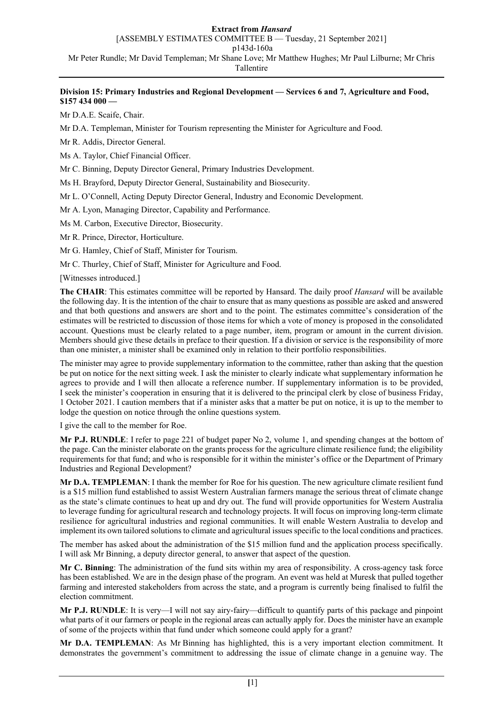[ASSEMBLY ESTIMATES COMMITTEE B — Tuesday, 21 September 2021]

p143d-160a

Mr Peter Rundle; Mr David Templeman; Mr Shane Love; Mr Matthew Hughes; Mr Paul Lilburne; Mr Chris

Tallentire

# **Division 15: Primary Industries and Regional Development — Services 6 and 7, Agriculture and Food, \$157 434 000 —**

Mr D.A.E. Scaife, Chair.

Mr D.A. Templeman, Minister for Tourism representing the Minister for Agriculture and Food.

Mr R. Addis, Director General.

Ms A. Taylor, Chief Financial Officer.

Mr C. Binning, Deputy Director General, Primary Industries Development.

Ms H. Brayford, Deputy Director General, Sustainability and Biosecurity.

Mr L. O'Connell, Acting Deputy Director General, Industry and Economic Development.

Mr A. Lyon, Managing Director, Capability and Performance.

Ms M. Carbon, Executive Director, Biosecurity.

Mr R. Prince, Director, Horticulture.

Mr G. Hamley, Chief of Staff, Minister for Tourism.

Mr C. Thurley, Chief of Staff, Minister for Agriculture and Food.

[Witnesses introduced.]

**The CHAIR**: This estimates committee will be reported by Hansard. The daily proof *Hansard* will be available the following day. It is the intention of the chair to ensure that as many questions as possible are asked and answered and that both questions and answers are short and to the point. The estimates committee's consideration of the estimates will be restricted to discussion of those items for which a vote of money is proposed in the consolidated account. Questions must be clearly related to a page number, item, program or amount in the current division. Members should give these details in preface to their question. If a division or service is the responsibility of more than one minister, a minister shall be examined only in relation to their portfolio responsibilities.

The minister may agree to provide supplementary information to the committee, rather than asking that the question be put on notice for the next sitting week. I ask the minister to clearly indicate what supplementary information he agrees to provide and I will then allocate a reference number. If supplementary information is to be provided, I seek the minister's cooperation in ensuring that it is delivered to the principal clerk by close of business Friday, 1 October 2021. I caution members that if a minister asks that a matter be put on notice, it is up to the member to lodge the question on notice through the online questions system.

I give the call to the member for Roe.

**Mr P.J. RUNDLE**: I refer to page 221 of budget paper No 2, volume 1, and spending changes at the bottom of the page. Can the minister elaborate on the grants process for the agriculture climate resilience fund; the eligibility requirements for that fund; and who is responsible for it within the minister's office or the Department of Primary Industries and Regional Development?

**Mr D.A. TEMPLEMAN**: I thank the member for Roe for his question. The new agriculture climate resilient fund is a \$15 million fund established to assist Western Australian farmers manage the serious threat of climate change as the state's climate continues to heat up and dry out. The fund will provide opportunities for Western Australia to leverage funding for agricultural research and technology projects. It will focus on improving long-term climate resilience for agricultural industries and regional communities. It will enable Western Australia to develop and implement its own tailored solutions to climate and agricultural issues specific to the local conditions and practices.

The member has asked about the administration of the \$15 million fund and the application process specifically. I will ask Mr Binning, a deputy director general, to answer that aspect of the question.

**Mr C. Binning**: The administration of the fund sits within my area of responsibility. A cross-agency task force has been established. We are in the design phase of the program. An event was held at Muresk that pulled together farming and interested stakeholders from across the state, and a program is currently being finalised to fulfil the election commitment.

**Mr P.J. RUNDLE**: It is very—I will not say airy-fairy—difficult to quantify parts of this package and pinpoint what parts of it our farmers or people in the regional areas can actually apply for. Does the minister have an example of some of the projects within that fund under which someone could apply for a grant?

**Mr D.A. TEMPLEMAN**: As Mr Binning has highlighted, this is a very important election commitment. It demonstrates the government's commitment to addressing the issue of climate change in a genuine way. The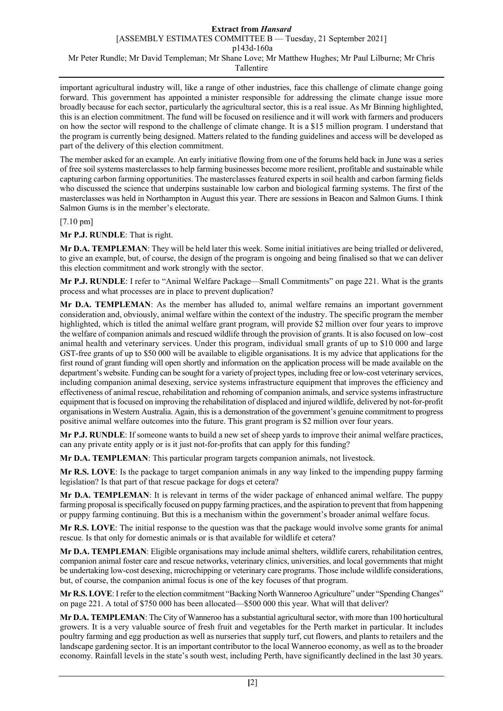important agricultural industry will, like a range of other industries, face this challenge of climate change going forward. This government has appointed a minister responsible for addressing the climate change issue more broadly because for each sector, particularly the agricultural sector, this is a real issue. As Mr Binning highlighted, this is an election commitment. The fund will be focused on resilience and it will work with farmers and producers on how the sector will respond to the challenge of climate change. It is a \$15 million program. I understand that the program is currently being designed. Matters related to the funding guidelines and access will be developed as part of the delivery of this election commitment.

The member asked for an example. An early initiative flowing from one of the forums held back in June was a series of free soil systems masterclasses to help farming businesses become more resilient, profitable and sustainable while capturing carbon farming opportunities. The masterclasses featured experts in soil health and carbon farming fields who discussed the science that underpins sustainable low carbon and biological farming systems. The first of the masterclasses was held in Northampton in August this year. There are sessions in Beacon and Salmon Gums. I think Salmon Gums is in the member's electorate.

### [7.10 pm]

### **Mr P.J. RUNDLE**: That is right.

**Mr D.A. TEMPLEMAN**: They will be held later this week. Some initial initiatives are being trialled or delivered, to give an example, but, of course, the design of the program is ongoing and being finalised so that we can deliver this election commitment and work strongly with the sector.

**Mr P.J. RUNDLE**: I refer to "Animal Welfare Package—Small Commitments" on page 221. What is the grants process and what processes are in place to prevent duplication?

**Mr D.A. TEMPLEMAN**: As the member has alluded to, animal welfare remains an important government consideration and, obviously, animal welfare within the context of the industry. The specific program the member highlighted, which is titled the animal welfare grant program, will provide \$2 million over four years to improve the welfare of companion animals and rescued wildlife through the provision of grants. It is also focused on low–cost animal health and veterinary services. Under this program, individual small grants of up to \$10 000 and large GST-free grants of up to \$50 000 will be available to eligible organisations. It is my advice that applications for the first round of grant funding will open shortly and information on the application process will be made available on the department's website. Funding can be sought for a variety of project types, including free or low-cost veterinary services, including companion animal desexing, service systems infrastructure equipment that improves the efficiency and effectiveness of animal rescue, rehabilitation and rehoming of companion animals, and service systems infrastructure equipment that is focused on improving the rehabilitation of displaced and injured wildlife, delivered by not-for-profit organisations in Western Australia. Again, this is a demonstration of the government's genuine commitment to progress positive animal welfare outcomes into the future. This grant program is \$2 million over four years.

**Mr P.J. RUNDLE**: If someone wants to build a new set of sheep yards to improve their animal welfare practices, can any private entity apply or is it just not-for-profits that can apply for this funding?

**Mr D.A. TEMPLEMAN**: This particular program targets companion animals, not livestock.

**Mr R.S. LOVE**: Is the package to target companion animals in any way linked to the impending puppy farming legislation? Is that part of that rescue package for dogs et cetera?

**Mr D.A. TEMPLEMAN**: It is relevant in terms of the wider package of enhanced animal welfare. The puppy farming proposal is specifically focused on puppy farming practices, and the aspiration to prevent that from happening or puppy farming continuing. But this is a mechanism within the government's broader animal welfare focus.

**Mr R.S. LOVE**: The initial response to the question was that the package would involve some grants for animal rescue. Is that only for domestic animals or is that available for wildlife et cetera?

**Mr D.A. TEMPLEMAN**: Eligible organisations may include animal shelters, wildlife carers, rehabilitation centres, companion animal foster care and rescue networks, veterinary clinics, universities, and local governments that might be undertaking low-cost desexing, microchipping or veterinary care programs. Those include wildlife considerations, but, of course, the companion animal focus is one of the key focuses of that program.

**Mr R.S. LOVE**:I refer to the election commitment "Backing North Wanneroo Agriculture" under "Spending Changes" on page 221. A total of \$750 000 has been allocated—\$500 000 this year. What will that deliver?

**Mr D.A. TEMPLEMAN**: The City of Wanneroo has a substantial agricultural sector, with more than 100 horticultural growers. It is a very valuable source of fresh fruit and vegetables for the Perth market in particular. It includes poultry farming and egg production as well as nurseries that supply turf, cut flowers, and plants to retailers and the landscape gardening sector. It is an important contributor to the local Wanneroo economy, as well as to the broader economy. Rainfall levels in the state's south west, including Perth, have significantly declined in the last 30 years.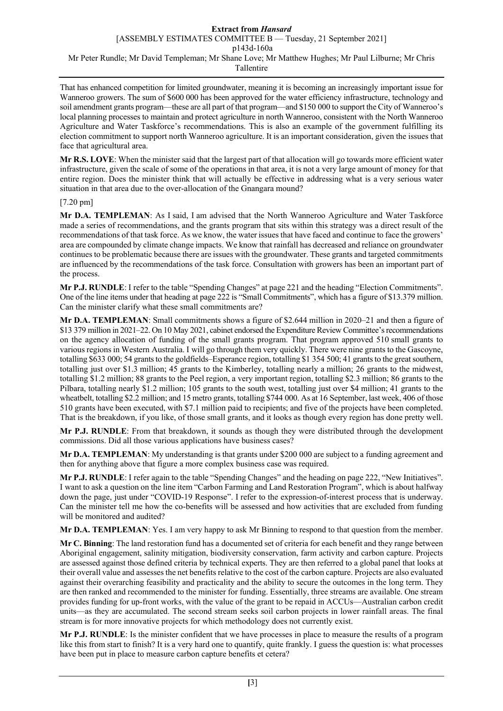That has enhanced competition for limited groundwater, meaning it is becoming an increasingly important issue for Wanneroo growers. The sum of \$600 000 has been approved for the water efficiency infrastructure, technology and soil amendment grants program—these are all part of that program—and \$150 000 to support the City of Wanneroo's local planning processes to maintain and protect agriculture in north Wanneroo, consistent with the North Wanneroo Agriculture and Water Taskforce's recommendations. This is also an example of the government fulfilling its election commitment to support north Wanneroo agriculture. It is an important consideration, given the issues that face that agricultural area.

**Mr R.S. LOVE**: When the minister said that the largest part of that allocation will go towards more efficient water infrastructure, given the scale of some of the operations in that area, it is not a very large amount of money for that entire region. Does the minister think that will actually be effective in addressing what is a very serious water situation in that area due to the over-allocation of the Gnangara mound?

# [7.20 pm]

**Mr D.A. TEMPLEMAN**: As I said, I am advised that the North Wanneroo Agriculture and Water Taskforce made a series of recommendations, and the grants program that sits within this strategy was a direct result of the recommendations of that task force. As we know, the water issues that have faced and continue to face the growers' area are compounded by climate change impacts. We know that rainfall has decreased and reliance on groundwater continues to be problematic because there are issues with the groundwater. These grants and targeted commitments are influenced by the recommendations of the task force. Consultation with growers has been an important part of the process.

**Mr P.J. RUNDLE**: I refer to the table "Spending Changes" at page 221 and the heading "Election Commitments". One of the line items under that heading at page 222 is "Small Commitments", which has a figure of \$13.379 million. Can the minister clarify what these small commitments are?

**Mr D.A. TEMPLEMAN**: Small commitments shows a figure of \$2.644 million in 2020–21 and then a figure of \$13 379 million in 2021–22. On 10 May 2021, cabinet endorsed the Expenditure Review Committee's recommendations on the agency allocation of funding of the small grants program. That program approved 510 small grants to various regions in Western Australia. I will go through them very quickly. There were nine grants to the Gascoyne, totalling \$633 000; 54 grants to the goldfields–Esperance region, totalling \$1 354 500; 41 grants to the great southern, totalling just over \$1.3 million; 45 grants to the Kimberley, totalling nearly a million; 26 grants to the midwest, totalling \$1.2 million; 88 grants to the Peel region, a very important region, totalling \$2.3 million; 86 grants to the Pilbara, totalling nearly \$1.2 million; 105 grants to the south west, totalling just over \$4 million; 41 grants to the wheatbelt, totalling \$2.2 million; and 15 metro grants, totalling \$744 000. As at 16 September, last week, 406 of those 510 grants have been executed, with \$7.1 million paid to recipients; and five of the projects have been completed. That is the breakdown, if you like, of those small grants, and it looks as though every region has done pretty well.

**Mr P.J. RUNDLE**: From that breakdown, it sounds as though they were distributed through the development commissions. Did all those various applications have business cases?

**Mr D.A. TEMPLEMAN**: My understanding is that grants under \$200 000 are subject to a funding agreement and then for anything above that figure a more complex business case was required.

**Mr P.J. RUNDLE**: I refer again to the table "Spending Changes" and the heading on page 222, "New Initiatives". I want to ask a question on the line item "Carbon Farming and Land Restoration Program", which is about halfway down the page, just under "COVID-19 Response". I refer to the expression-of-interest process that is underway. Can the minister tell me how the co-benefits will be assessed and how activities that are excluded from funding will be monitored and audited?

**Mr D.A. TEMPLEMAN**: Yes. I am very happy to ask Mr Binning to respond to that question from the member.

**Mr C. Binning**: The land restoration fund has a documented set of criteria for each benefit and they range between Aboriginal engagement, salinity mitigation, biodiversity conservation, farm activity and carbon capture. Projects are assessed against those defined criteria by technical experts. They are then referred to a global panel that looks at their overall value and assesses the net benefits relative to the cost of the carbon capture. Projects are also evaluated against their overarching feasibility and practicality and the ability to secure the outcomes in the long term. They are then ranked and recommended to the minister for funding. Essentially, three streams are available. One stream provides funding for up-front works, with the value of the grant to be repaid in ACCUs—Australian carbon credit units—as they are accumulated. The second stream seeks soil carbon projects in lower rainfall areas. The final stream is for more innovative projects for which methodology does not currently exist.

**Mr P.J. RUNDLE**: Is the minister confident that we have processes in place to measure the results of a program like this from start to finish? It is a very hard one to quantify, quite frankly. I guess the question is: what processes have been put in place to measure carbon capture benefits et cetera?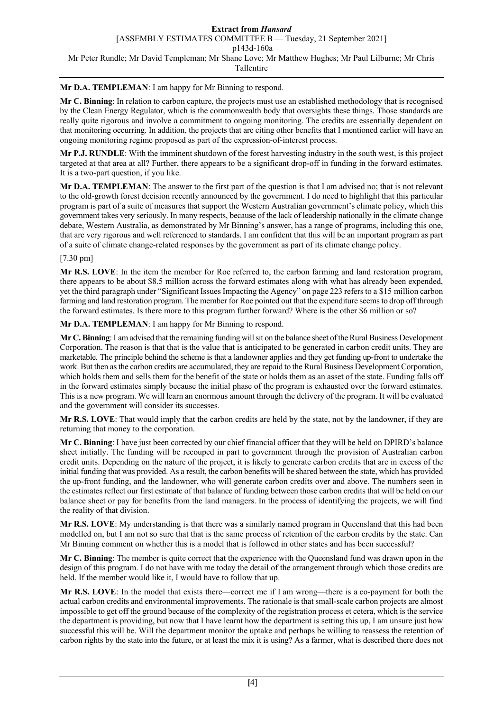**Mr D.A. TEMPLEMAN**: I am happy for Mr Binning to respond.

**Mr C. Binning**: In relation to carbon capture, the projects must use an established methodology that is recognised by the Clean Energy Regulator, which is the commonwealth body that oversights these things. Those standards are really quite rigorous and involve a commitment to ongoing monitoring. The credits are essentially dependent on that monitoring occurring. In addition, the projects that are citing other benefits that I mentioned earlier will have an ongoing monitoring regime proposed as part of the expression-of-interest process.

**Mr P.J. RUNDLE**: With the imminent shutdown of the forest harvesting industry in the south west, is this project targeted at that area at all? Further, there appears to be a significant drop-off in funding in the forward estimates. It is a two-part question, if you like.

**Mr D.A. TEMPLEMAN**: The answer to the first part of the question is that I am advised no; that is not relevant to the old-growth forest decision recently announced by the government. I do need to highlight that this particular program is part of a suite of measures that support the Western Australian government's climate policy, which this government takes very seriously. In many respects, because of the lack of leadership nationally in the climate change debate, Western Australia, as demonstrated by Mr Binning's answer, has a range of programs, including this one, that are very rigorous and well referenced to standards. I am confident that this will be an important program as part of a suite of climate change-related responses by the government as part of its climate change policy.

# [7.30 pm]

**Mr R.S. LOVE**: In the item the member for Roe referred to, the carbon farming and land restoration program, there appears to be about \$8.5 million across the forward estimates along with what has already been expended, yet the third paragraph under "Significant Issues Impacting the Agency" on page 223 refers to a \$15 million carbon farming and land restoration program. The member for Roe pointed out that the expenditure seems to drop off through the forward estimates. Is there more to this program further forward? Where is the other \$6 million or so?

**Mr D.A. TEMPLEMAN**: I am happy for Mr Binning to respond.

**Mr C. Binning**: I am advised that the remaining funding will sit on the balance sheet of the Rural Business Development Corporation. The reason is that that is the value that is anticipated to be generated in carbon credit units. They are marketable. The principle behind the scheme is that a landowner applies and they get funding up-front to undertake the work. But then as the carbon credits are accumulated, they are repaid to the Rural Business Development Corporation, which holds them and sells them for the benefit of the state or holds them as an asset of the state. Funding falls off in the forward estimates simply because the initial phase of the program is exhausted over the forward estimates. This is a new program. We will learn an enormous amount through the delivery of the program. It will be evaluated and the government will consider its successes.

**Mr R.S. LOVE**: That would imply that the carbon credits are held by the state, not by the landowner, if they are returning that money to the corporation.

**Mr C. Binning**: I have just been corrected by our chief financial officer that they will be held on DPIRD's balance sheet initially. The funding will be recouped in part to government through the provision of Australian carbon credit units. Depending on the nature of the project, it is likely to generate carbon credits that are in excess of the initial funding that was provided. As a result, the carbon benefits will be shared between the state, which has provided the up-front funding, and the landowner, who will generate carbon credits over and above. The numbers seen in the estimates reflect our first estimate of that balance of funding between those carbon credits that will be held on our balance sheet or pay for benefits from the land managers. In the process of identifying the projects, we will find the reality of that division.

**Mr R.S. LOVE**: My understanding is that there was a similarly named program in Queensland that this had been modelled on, but I am not so sure that that is the same process of retention of the carbon credits by the state. Can Mr Binning comment on whether this is a model that is followed in other states and has been successful?

**Mr C. Binning**: The member is quite correct that the experience with the Queensland fund was drawn upon in the design of this program. I do not have with me today the detail of the arrangement through which those credits are held. If the member would like it, I would have to follow that up.

**Mr R.S. LOVE**: In the model that exists there—correct me if I am wrong—there is a co-payment for both the actual carbon credits and environmental improvements. The rationale is that small-scale carbon projects are almost impossible to get off the ground because of the complexity of the registration process et cetera, which is the service the department is providing, but now that I have learnt how the department is setting this up, I am unsure just how successful this will be. Will the department monitor the uptake and perhaps be willing to reassess the retention of carbon rights by the state into the future, or at least the mix it is using? As a farmer, what is described there does not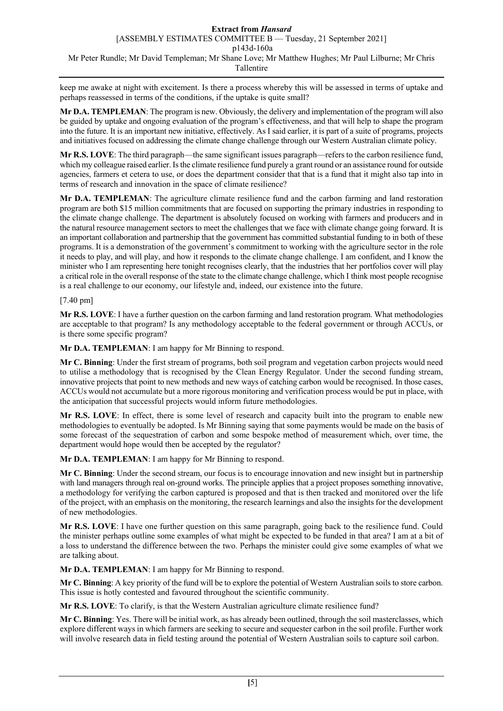keep me awake at night with excitement. Is there a process whereby this will be assessed in terms of uptake and perhaps reassessed in terms of the conditions, if the uptake is quite small?

**Mr D.A. TEMPLEMAN**: The program is new. Obviously, the delivery and implementation of the program will also be guided by uptake and ongoing evaluation of the program's effectiveness, and that will help to shape the program into the future. It is an important new initiative, effectively. As I said earlier, it is part of a suite of programs, projects and initiatives focused on addressing the climate change challenge through our Western Australian climate policy.

**Mr R.S. LOVE**: The third paragraph—the same significant issues paragraph—refers to the carbon resilience fund, which my colleague raised earlier. Is the climate resilience fund purely a grant round or an assistance round for outside agencies, farmers et cetera to use, or does the department consider that that is a fund that it might also tap into in terms of research and innovation in the space of climate resilience?

**Mr D.A. TEMPLEMAN**: The agriculture climate resilience fund and the carbon farming and land restoration program are both \$15 million commitments that are focused on supporting the primary industries in responding to the climate change challenge. The department is absolutely focused on working with farmers and producers and in the natural resource management sectors to meet the challenges that we face with climate change going forward. It is an important collaboration and partnership that the government has committed substantial funding to in both of these programs. It is a demonstration of the government's commitment to working with the agriculture sector in the role it needs to play, and will play, and how it responds to the climate change challenge. I am confident, and I know the minister who I am representing here tonight recognises clearly, that the industries that her portfolios cover will play a critical role in the overall response of the state to the climate change challenge, which I think most people recognise is a real challenge to our economy, our lifestyle and, indeed, our existence into the future.

[7.40 pm]

**Mr R.S. LOVE**: I have a further question on the carbon farming and land restoration program. What methodologies are acceptable to that program? Is any methodology acceptable to the federal government or through ACCUs, or is there some specific program?

**Mr D.A. TEMPLEMAN**: I am happy for Mr Binning to respond.

**Mr C. Binning**: Under the first stream of programs, both soil program and vegetation carbon projects would need to utilise a methodology that is recognised by the Clean Energy Regulator. Under the second funding stream, innovative projects that point to new methods and new ways of catching carbon would be recognised. In those cases, ACCUs would not accumulate but a more rigorous monitoring and verification process would be put in place, with the anticipation that successful projects would inform future methodologies.

**Mr R.S. LOVE**: In effect, there is some level of research and capacity built into the program to enable new methodologies to eventually be adopted. Is Mr Binning saying that some payments would be made on the basis of some forecast of the sequestration of carbon and some bespoke method of measurement which, over time, the department would hope would then be accepted by the regulator?

**Mr D.A. TEMPLEMAN**: I am happy for Mr Binning to respond.

**Mr C. Binning**: Under the second stream, our focus is to encourage innovation and new insight but in partnership with land managers through real on-ground works. The principle applies that a project proposes something innovative, a methodology for verifying the carbon captured is proposed and that is then tracked and monitored over the life of the project, with an emphasis on the monitoring, the research learnings and also the insights for the development of new methodologies.

**Mr R.S. LOVE**: I have one further question on this same paragraph, going back to the resilience fund. Could the minister perhaps outline some examples of what might be expected to be funded in that area? I am at a bit of a loss to understand the difference between the two. Perhaps the minister could give some examples of what we are talking about.

**Mr D.A. TEMPLEMAN**: I am happy for Mr Binning to respond.

**Mr C. Binning**: A key priority of the fund will be to explore the potential of Western Australian soils to store carbon. This issue is hotly contested and favoured throughout the scientific community.

**Mr R.S. LOVE**: To clarify, is that the Western Australian agriculture climate resilience fund?

**Mr C. Binning**: Yes. There will be initial work, as has already been outlined, through the soil masterclasses, which explore different ways in which farmers are seeking to secure and sequester carbon in the soil profile. Further work will involve research data in field testing around the potential of Western Australian soils to capture soil carbon.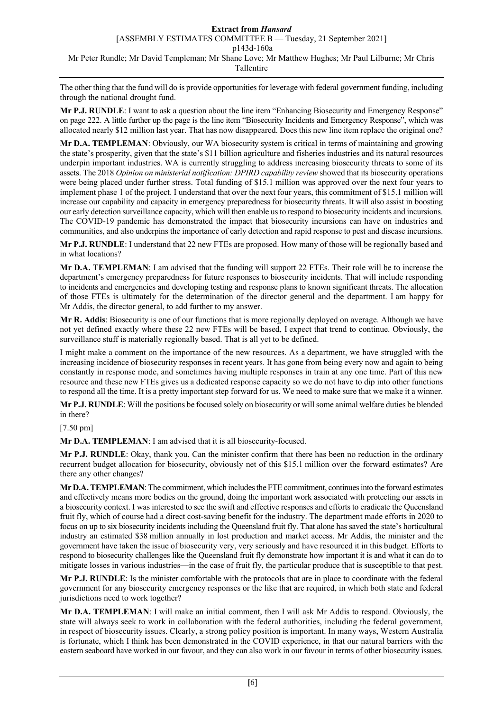The other thing that the fund will do is provide opportunities for leverage with federal government funding, including through the national drought fund.

**Mr P.J. RUNDLE**: I want to ask a question about the line item "Enhancing Biosecurity and Emergency Response" on page 222. A little further up the page is the line item "Biosecurity Incidents and Emergency Response", which was allocated nearly \$12 million last year. That has now disappeared. Does this new line item replace the original one?

**Mr D.A. TEMPLEMAN**: Obviously, our WA biosecurity system is critical in terms of maintaining and growing the state's prosperity, given that the state's \$11 billion agriculture and fisheries industries and its natural resources underpin important industries. WA is currently struggling to address increasing biosecurity threats to some of its assets. The 2018 *Opinion on ministerial notification: DPIRD capability review* showed that its biosecurity operations were being placed under further stress. Total funding of \$15.1 million was approved over the next four years to implement phase 1 of the project. I understand that over the next four years, this commitment of \$15.1 million will increase our capability and capacity in emergency preparedness for biosecurity threats. It will also assist in boosting our early detection surveillance capacity, which will then enable us to respond to biosecurity incidents and incursions. The COVID-19 pandemic has demonstrated the impact that biosecurity incursions can have on industries and communities, and also underpins the importance of early detection and rapid response to pest and disease incursions.

**Mr P.J. RUNDLE**: I understand that 22 new FTEs are proposed. How many of those will be regionally based and in what locations?

**Mr D.A. TEMPLEMAN**: I am advised that the funding will support 22 FTEs. Their role will be to increase the department's emergency preparedness for future responses to biosecurity incidents. That will include responding to incidents and emergencies and developing testing and response plans to known significant threats. The allocation of those FTEs is ultimately for the determination of the director general and the department. I am happy for Mr Addis, the director general, to add further to my answer.

**Mr R. Addis**: Biosecurity is one of our functions that is more regionally deployed on average. Although we have not yet defined exactly where these 22 new FTEs will be based, I expect that trend to continue. Obviously, the surveillance stuff is materially regionally based. That is all yet to be defined.

I might make a comment on the importance of the new resources. As a department, we have struggled with the increasing incidence of biosecurity responses in recent years. It has gone from being every now and again to being constantly in response mode, and sometimes having multiple responses in train at any one time. Part of this new resource and these new FTEs gives us a dedicated response capacity so we do not have to dip into other functions to respond all the time. It is a pretty important step forward for us. We need to make sure that we make it a winner.

**Mr P.J. RUNDLE**: Will the positions be focused solely on biosecurity or will some animal welfare duties be blended in there?

[7.50 pm]

**Mr D.A. TEMPLEMAN**: I am advised that it is all biosecurity-focused.

**Mr P.J. RUNDLE**: Okay, thank you. Can the minister confirm that there has been no reduction in the ordinary recurrent budget allocation for biosecurity, obviously net of this \$15.1 million over the forward estimates? Are there any other changes?

**Mr D.A. TEMPLEMAN**: The commitment, which includes the FTE commitment, continues into the forward estimates and effectively means more bodies on the ground, doing the important work associated with protecting our assets in a biosecurity context. I was interested to see the swift and effective responses and efforts to eradicate the Queensland fruit fly, which of course had a direct cost-saving benefit for the industry. The department made efforts in 2020 to focus on up to six biosecurity incidents including the Queensland fruit fly. That alone has saved the state's horticultural industry an estimated \$38 million annually in lost production and market access. Mr Addis, the minister and the government have taken the issue of biosecurity very, very seriously and have resourced it in this budget. Efforts to respond to biosecurity challenges like the Queensland fruit fly demonstrate how important it is and what it can do to mitigate losses in various industries—in the case of fruit fly, the particular produce that is susceptible to that pest.

**Mr P.J. RUNDLE**: Is the minister comfortable with the protocols that are in place to coordinate with the federal government for any biosecurity emergency responses or the like that are required, in which both state and federal jurisdictions need to work together?

**Mr D.A. TEMPLEMAN**: I will make an initial comment, then I will ask Mr Addis to respond. Obviously, the state will always seek to work in collaboration with the federal authorities, including the federal government, in respect of biosecurity issues. Clearly, a strong policy position is important. In many ways, Western Australia is fortunate, which I think has been demonstrated in the COVID experience, in that our natural barriers with the eastern seaboard have worked in our favour, and they can also work in our favour in terms of other biosecurity issues.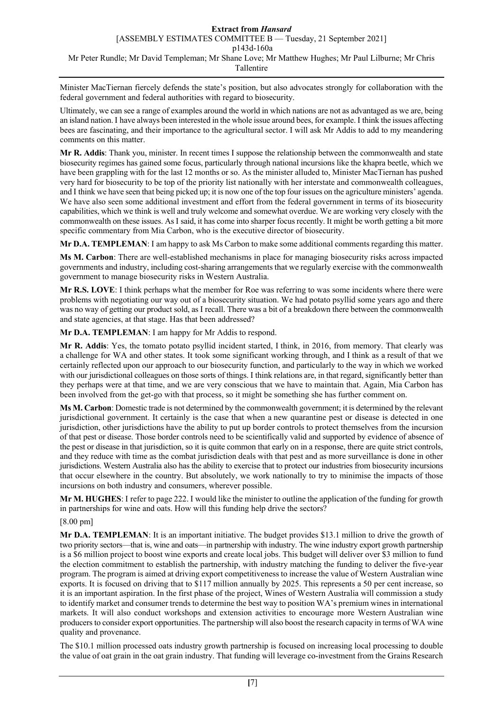Minister MacTiernan fiercely defends the state's position, but also advocates strongly for collaboration with the federal government and federal authorities with regard to biosecurity.

Ultimately, we can see a range of examples around the world in which nations are not as advantaged as we are, being an island nation. I have always been interested in the whole issue around bees, for example. I think the issues affecting bees are fascinating, and their importance to the agricultural sector. I will ask Mr Addis to add to my meandering comments on this matter.

**Mr R. Addis**: Thank you, minister. In recent times I suppose the relationship between the commonwealth and state biosecurity regimes has gained some focus, particularly through national incursions like the khapra beetle, which we have been grappling with for the last 12 months or so. As the minister alluded to, Minister MacTiernan has pushed very hard for biosecurity to be top of the priority list nationally with her interstate and commonwealth colleagues, and I think we have seen that being picked up; it is now one of the top four issues on the agriculture ministers' agenda. We have also seen some additional investment and effort from the federal government in terms of its biosecurity capabilities, which we think is well and truly welcome and somewhat overdue. We are working very closely with the commonwealth on these issues. As I said, it has come into sharper focus recently. It might be worth getting a bit more specific commentary from Mia Carbon, who is the executive director of biosecurity.

**Mr D.A. TEMPLEMAN**: I am happy to ask Ms Carbon to make some additional comments regarding this matter.

**Ms M. Carbon**: There are well-established mechanisms in place for managing biosecurity risks across impacted governments and industry, including cost-sharing arrangements that we regularly exercise with the commonwealth government to manage biosecurity risks in Western Australia.

**Mr R.S. LOVE**: I think perhaps what the member for Roe was referring to was some incidents where there were problems with negotiating our way out of a biosecurity situation. We had potato psyllid some years ago and there was no way of getting our product sold, as I recall. There was a bit of a breakdown there between the commonwealth and state agencies, at that stage. Has that been addressed?

**Mr D.A. TEMPLEMAN**: I am happy for Mr Addis to respond.

**Mr R. Addis**: Yes, the tomato potato psyllid incident started, I think, in 2016, from memory. That clearly was a challenge for WA and other states. It took some significant working through, and I think as a result of that we certainly reflected upon our approach to our biosecurity function, and particularly to the way in which we worked with our jurisdictional colleagues on those sorts of things. I think relations are, in that regard, significantly better than they perhaps were at that time, and we are very conscious that we have to maintain that. Again, Mia Carbon has been involved from the get-go with that process, so it might be something she has further comment on.

**Ms M. Carbon**: Domestic trade is not determined by the commonwealth government; it is determined by the relevant jurisdictional government. It certainly is the case that when a new quarantine pest or disease is detected in one jurisdiction, other jurisdictions have the ability to put up border controls to protect themselves from the incursion of that pest or disease. Those border controls need to be scientifically valid and supported by evidence of absence of the pest or disease in that jurisdiction, so it is quite common that early on in a response, there are quite strict controls, and they reduce with time as the combat jurisdiction deals with that pest and as more surveillance is done in other jurisdictions. Western Australia also has the ability to exercise that to protect our industries from biosecurity incursions that occur elsewhere in the country. But absolutely, we work nationally to try to minimise the impacts of those incursions on both industry and consumers, wherever possible.

**Mr M. HUGHES**: I refer to page 222. I would like the minister to outline the application of the funding for growth in partnerships for wine and oats. How will this funding help drive the sectors?

[8.00 pm]

**Mr D.A. TEMPLEMAN**: It is an important initiative. The budget provides \$13.1 million to drive the growth of two priority sectors—that is, wine and oats—in partnership with industry. The wine industry export growth partnership is a \$6 million project to boost wine exports and create local jobs. This budget will deliver over \$3 million to fund the election commitment to establish the partnership, with industry matching the funding to deliver the five-year program. The program is aimed at driving export competitiveness to increase the value of Western Australian wine exports. It is focused on driving that to \$117 million annually by 2025. This represents a 50 per cent increase, so it is an important aspiration. In the first phase of the project, Wines of Western Australia will commission a study to identify market and consumer trends to determine the best way to position WA's premium wines in international markets. It will also conduct workshops and extension activities to encourage more Western Australian wine producers to consider export opportunities. The partnership will also boost the research capacity in terms of WA wine quality and provenance.

The \$10.1 million processed oats industry growth partnership is focused on increasing local processing to double the value of oat grain in the oat grain industry. That funding will leverage co-investment from the Grains Research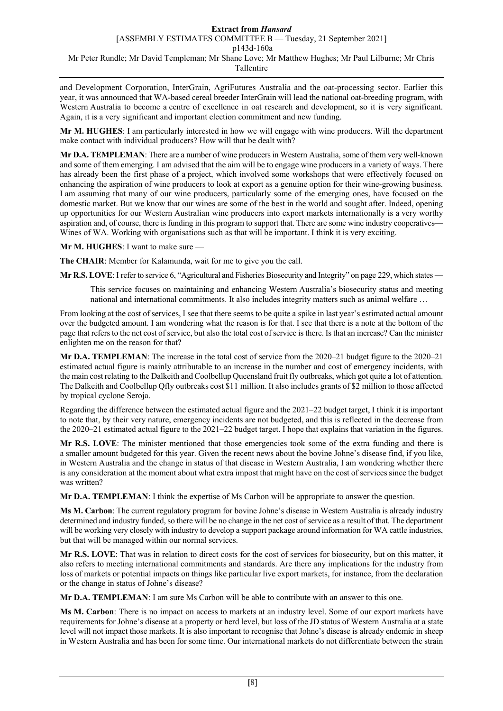and Development Corporation, InterGrain, AgriFutures Australia and the oat-processing sector. Earlier this year, it was announced that WA-based cereal breeder InterGrain will lead the national oat-breeding program, with Western Australia to become a centre of excellence in oat research and development, so it is very significant. Again, it is a very significant and important election commitment and new funding.

**Mr M. HUGHES**: I am particularly interested in how we will engage with wine producers. Will the department make contact with individual producers? How will that be dealt with?

**Mr D.A. TEMPLEMAN**: There are a number of wine producers in Western Australia, some of them very well-known and some of them emerging. I am advised that the aim will be to engage wine producers in a variety of ways. There has already been the first phase of a project, which involved some workshops that were effectively focused on enhancing the aspiration of wine producers to look at export as a genuine option for their wine-growing business. I am assuming that many of our wine producers, particularly some of the emerging ones, have focused on the domestic market. But we know that our wines are some of the best in the world and sought after. Indeed, opening up opportunities for our Western Australian wine producers into export markets internationally is a very worthy aspiration and, of course, there is funding in this program to support that. There are some wine industry cooperatives— Wines of WA. Working with organisations such as that will be important. I think it is very exciting.

**Mr M. HUGHES**: I want to make sure —

**The CHAIR**: Member for Kalamunda, wait for me to give you the call.

**Mr R.S. LOVE**: I refer to service 6, "Agricultural and Fisheries Biosecurity and Integrity" on page 229, which states —

This service focuses on maintaining and enhancing Western Australia's biosecurity status and meeting national and international commitments. It also includes integrity matters such as animal welfare …

From looking at the cost of services, I see that there seems to be quite a spike in last year's estimated actual amount over the budgeted amount. I am wondering what the reason is for that. I see that there is a note at the bottom of the page that refers to the net cost of service, but also the total cost of service is there. Is that an increase? Can the minister enlighten me on the reason for that?

**Mr D.A. TEMPLEMAN**: The increase in the total cost of service from the 2020–21 budget figure to the 2020–21 estimated actual figure is mainly attributable to an increase in the number and cost of emergency incidents, with the main cost relating to the Dalkeith and Coolbellup Queensland fruit fly outbreaks, which got quite a lot of attention. The Dalkeith and Coolbellup Qfly outbreaks cost \$11 million. It also includes grants of \$2 million to those affected by tropical cyclone Seroja.

Regarding the difference between the estimated actual figure and the 2021–22 budget target, I think it is important to note that, by their very nature, emergency incidents are not budgeted, and this is reflected in the decrease from the 2020–21 estimated actual figure to the 2021–22 budget target. I hope that explains that variation in the figures.

**Mr R.S. LOVE**: The minister mentioned that those emergencies took some of the extra funding and there is a smaller amount budgeted for this year. Given the recent news about the bovine Johne's disease find, if you like, in Western Australia and the change in status of that disease in Western Australia, I am wondering whether there is any consideration at the moment about what extra impost that might have on the cost of services since the budget was written?

**Mr D.A. TEMPLEMAN**: I think the expertise of Ms Carbon will be appropriate to answer the question.

**Ms M. Carbon**: The current regulatory program for bovine Johne's disease in Western Australia is already industry determined and industry funded, so there will be no change in the net cost of service as a result of that. The department will be working very closely with industry to develop a support package around information for WA cattle industries, but that will be managed within our normal services.

**Mr R.S. LOVE**: That was in relation to direct costs for the cost of services for biosecurity, but on this matter, it also refers to meeting international commitments and standards. Are there any implications for the industry from loss of markets or potential impacts on things like particular live export markets, for instance, from the declaration or the change in status of Johne's disease?

**Mr D.A. TEMPLEMAN**: I am sure Ms Carbon will be able to contribute with an answer to this one.

**Ms M. Carbon**: There is no impact on access to markets at an industry level. Some of our export markets have requirements for Johne's disease at a property or herd level, but loss of the JD status of Western Australia at a state level will not impact those markets. It is also important to recognise that Johne's disease is already endemic in sheep in Western Australia and has been for some time. Our international markets do not differentiate between the strain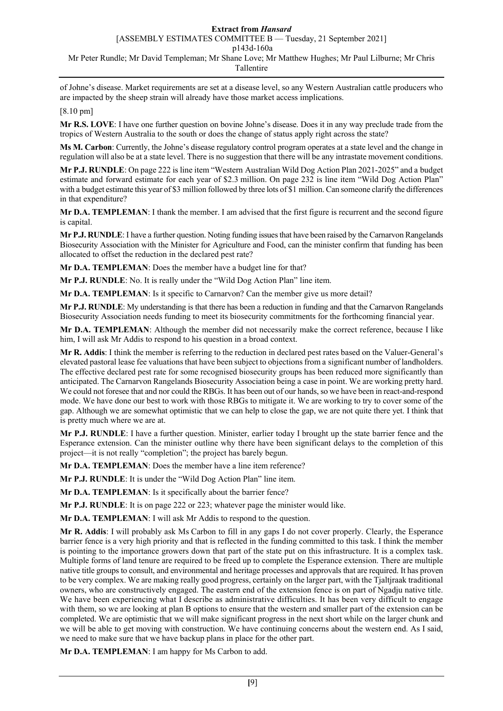[ASSEMBLY ESTIMATES COMMITTEE B — Tuesday, 21 September 2021]

p143d-160a

Mr Peter Rundle; Mr David Templeman; Mr Shane Love; Mr Matthew Hughes; Mr Paul Lilburne; Mr Chris

#### Tallentire

of Johne's disease. Market requirements are set at a disease level, so any Western Australian cattle producers who are impacted by the sheep strain will already have those market access implications.

[8.10 pm]

**Mr R.S. LOVE**: I have one further question on bovine Johne's disease. Does it in any way preclude trade from the tropics of Western Australia to the south or does the change of status apply right across the state?

**Ms M. Carbon**: Currently, the Johne's disease regulatory control program operates at a state level and the change in regulation will also be at a state level. There is no suggestion that there will be any intrastate movement conditions.

**Mr P.J. RUNDLE**: On page 222 is line item "Western Australian Wild Dog Action Plan 2021-2025" and a budget estimate and forward estimate for each year of \$2.3 million. On page 232 is line item "Wild Dog Action Plan" with a budget estimate this year of \$3 million followed by three lots of \$1 million. Can someone clarify the differences in that expenditure?

**Mr D.A. TEMPLEMAN**: I thank the member. I am advised that the first figure is recurrent and the second figure is capital.

**Mr P.J. RUNDLE**: I have a further question. Noting funding issues that have been raised by the Carnarvon Rangelands Biosecurity Association with the Minister for Agriculture and Food, can the minister confirm that funding has been allocated to offset the reduction in the declared pest rate?

**Mr D.A. TEMPLEMAN**: Does the member have a budget line for that?

**Mr P.J. RUNDLE**: No. It is really under the "Wild Dog Action Plan" line item.

**Mr D.A. TEMPLEMAN**: Is it specific to Carnarvon? Can the member give us more detail?

**Mr P.J. RUNDLE**: My understanding is that there has been a reduction in funding and that the Carnarvon Rangelands Biosecurity Association needs funding to meet its biosecurity commitments for the forthcoming financial year.

**Mr D.A. TEMPLEMAN**: Although the member did not necessarily make the correct reference, because I like him, I will ask Mr Addis to respond to his question in a broad context.

**Mr R. Addis**: I think the member is referring to the reduction in declared pest rates based on the Valuer-General's elevated pastoral lease fee valuations that have been subject to objections from a significant number of landholders. The effective declared pest rate for some recognised biosecurity groups has been reduced more significantly than anticipated. The Carnarvon Rangelands Biosecurity Association being a case in point. We are working pretty hard. We could not foresee that and nor could the RBGs. It has been out of our hands, so we have been in react-and-respond mode. We have done our best to work with those RBGs to mitigate it. We are working to try to cover some of the gap. Although we are somewhat optimistic that we can help to close the gap, we are not quite there yet. I think that is pretty much where we are at.

**Mr P.J. RUNDLE**: I have a further question. Minister, earlier today I brought up the state barrier fence and the Esperance extension. Can the minister outline why there have been significant delays to the completion of this project—it is not really "completion"; the project has barely begun.

**Mr D.A. TEMPLEMAN**: Does the member have a line item reference?

**Mr P.J. RUNDLE**: It is under the "Wild Dog Action Plan" line item.

**Mr D.A. TEMPLEMAN**: Is it specifically about the barrier fence?

**Mr P.J. RUNDLE**: It is on page 222 or 223; whatever page the minister would like.

**Mr D.A. TEMPLEMAN**: I will ask Mr Addis to respond to the question.

**Mr R. Addis**: I will probably ask Ms Carbon to fill in any gaps I do not cover properly. Clearly, the Esperance barrier fence is a very high priority and that is reflected in the funding committed to this task. I think the member is pointing to the importance growers down that part of the state put on this infrastructure. It is a complex task. Multiple forms of land tenure are required to be freed up to complete the Esperance extension. There are multiple native title groups to consult, and environmental and heritage processes and approvals that are required. It has proven to be very complex. We are making really good progress, certainly on the larger part, with the Tjaltjraak traditional owners, who are constructively engaged. The eastern end of the extension fence is on part of Ngadju native title. We have been experiencing what I describe as administrative difficulties. It has been very difficult to engage with them, so we are looking at plan B options to ensure that the western and smaller part of the extension can be completed. We are optimistic that we will make significant progress in the next short while on the larger chunk and we will be able to get moving with construction. We have continuing concerns about the western end. As I said, we need to make sure that we have backup plans in place for the other part.

**Mr D.A. TEMPLEMAN**: I am happy for Ms Carbon to add.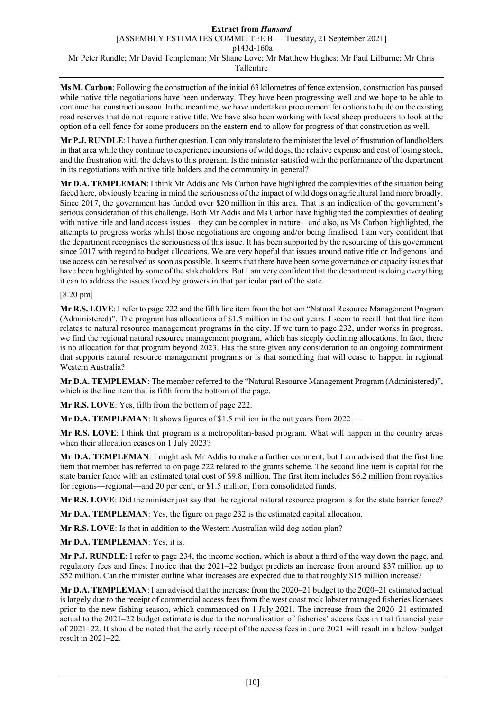**Ms M. Carbon**: Following the construction of the initial 63 kilometres of fence extension, construction has paused while native title negotiations have been underway. They have been progressing well and we hope to be able to continue that construction soon. In the meantime, we have undertaken procurement for options to build on the existing road reserves that do not require native title. We have also been working with local sheep producers to look at the option of a cell fence for some producers on the eastern end to allow for progress of that construction as well.

**Mr P.J. RUNDLE**: I have a further question. I can only translate to the minister the level of frustration of landholders in that area while they continue to experience incursions of wild dogs, the relative expense and cost of losing stock, and the frustration with the delays to this program. Is the minister satisfied with the performance of the department in its negotiations with native title holders and the community in general?

**Mr D.A. TEMPLEMAN**: I think Mr Addis and Ms Carbon have highlighted the complexities of the situation being faced here, obviously bearing in mind the seriousness of the impact of wild dogs on agricultural land more broadly. Since 2017, the government has funded over \$20 million in this area. That is an indication of the government's serious consideration of this challenge. Both Mr Addis and Ms Carbon have highlighted the complexities of dealing with native title and land access issues—they can be complex in nature—and also, as Ms Carbon highlighted, the attempts to progress works whilst those negotiations are ongoing and/or being finalised. I am very confident that the department recognises the seriousness of this issue. It has been supported by the resourcing of this government since 2017 with regard to budget allocations. We are very hopeful that issues around native title or Indigenous land use access can be resolved as soon as possible. It seems that there have been some governance or capacity issues that have been highlighted by some of the stakeholders. But I am very confident that the department is doing everything it can to address the issues faced by growers in that particular part of the state.

# [8.20 pm]

**Mr R.S. LOVE**: I refer to page 222 and the fifth line item from the bottom "Natural Resource Management Program (Administered)". The program has allocations of \$1.5 million in the out years. I seem to recall that that line item relates to natural resource management programs in the city. If we turn to page 232, under works in progress, we find the regional natural resource management program, which has steeply declining allocations. In fact, there is no allocation for that program beyond 2023. Has the state given any consideration to an ongoing commitment that supports natural resource management programs or is that something that will cease to happen in regional Western Australia?

**Mr D.A. TEMPLEMAN**: The member referred to the "Natural Resource Management Program (Administered)", which is the line item that is fifth from the bottom of the page.

**Mr R.S. LOVE**: Yes, fifth from the bottom of page 222.

**Mr D.A. TEMPLEMAN:** It shows figures of \$1.5 million in the out years from 2022 —

**Mr R.S. LOVE**: I think that program is a metropolitan-based program. What will happen in the country areas when their allocation ceases on 1 July 2023?

**Mr D.A. TEMPLEMAN**: I might ask Mr Addis to make a further comment, but I am advised that the first line item that member has referred to on page 222 related to the grants scheme. The second line item is capital for the state barrier fence with an estimated total cost of \$9.8 million. The first item includes \$6.2 million from royalties for regions—regional—and 20 per cent, or \$1.5 million, from consolidated funds.

**Mr R.S. LOVE**: Did the minister just say that the regional natural resource program is for the state barrier fence?

**Mr D.A. TEMPLEMAN**: Yes, the figure on page 232 is the estimated capital allocation.

**Mr R.S. LOVE**: Is that in addition to the Western Australian wild dog action plan?

**Mr D.A. TEMPLEMAN**: Yes, it is.

**Mr P.J. RUNDLE**: I refer to page 234, the income section, which is about a third of the way down the page, and regulatory fees and fines. I notice that the 2021–22 budget predicts an increase from around \$37 million up to \$52 million. Can the minister outline what increases are expected due to that roughly \$15 million increase?

**Mr D.A. TEMPLEMAN**: I am advised that the increase from the 2020–21 budget to the 2020–21 estimated actual is largely due to the receipt of commercial access fees from the west coast rock lobster managed fisheries licensees prior to the new fishing season, which commenced on 1 July 2021. The increase from the 2020–21 estimated actual to the 2021–22 budget estimate is due to the normalisation of fisheries' access fees in that financial year of 2021–22. It should be noted that the early receipt of the access fees in June 2021 will result in a below budget result in 2021–22.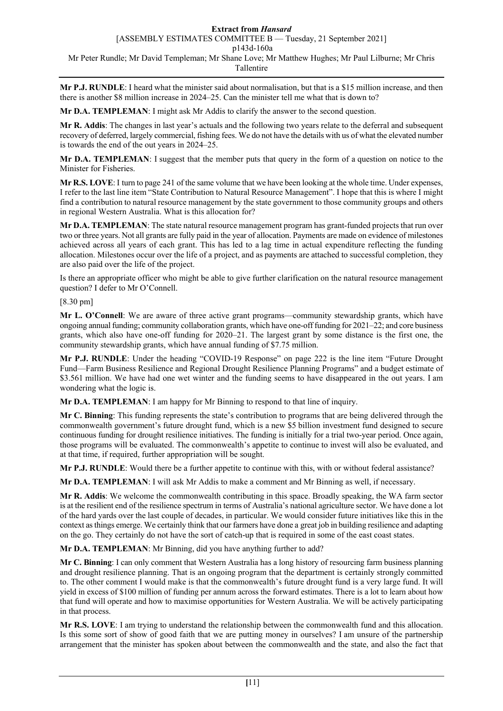[ASSEMBLY ESTIMATES COMMITTEE B — Tuesday, 21 September 2021]

p143d-160a

Mr Peter Rundle; Mr David Templeman; Mr Shane Love; Mr Matthew Hughes; Mr Paul Lilburne; Mr Chris Tallentire

**Mr P.J. RUNDLE**: I heard what the minister said about normalisation, but that is a \$15 million increase, and then there is another \$8 million increase in 2024–25. Can the minister tell me what that is down to?

**Mr D.A. TEMPLEMAN**: I might ask Mr Addis to clarify the answer to the second question.

**Mr R. Addis**: The changes in last year's actuals and the following two years relate to the deferral and subsequent recovery of deferred, largely commercial, fishing fees. We do not have the details with us of what the elevated number is towards the end of the out years in 2024–25.

**Mr D.A. TEMPLEMAN**: I suggest that the member puts that query in the form of a question on notice to the Minister for Fisheries.

**Mr R.S. LOVE**: I turn to page 241 of the same volume that we have been looking at the whole time. Under expenses, I refer to the last line item "State Contribution to Natural Resource Management". I hope that this is where I might find a contribution to natural resource management by the state government to those community groups and others in regional Western Australia. What is this allocation for?

**Mr D.A. TEMPLEMAN**: The state natural resource management program has grant-funded projects that run over two or three years. Not all grants are fully paid in the year of allocation. Payments are made on evidence of milestones achieved across all years of each grant. This has led to a lag time in actual expenditure reflecting the funding allocation. Milestones occur over the life of a project, and as payments are attached to successful completion, they are also paid over the life of the project.

Is there an appropriate officer who might be able to give further clarification on the natural resource management question? I defer to Mr O'Connell.

[8.30 pm]

**Mr L. O'Connell**: We are aware of three active grant programs—community stewardship grants, which have ongoing annual funding; community collaboration grants, which have one-off funding for 2021–22; and core business grants, which also have one-off funding for 2020–21. The largest grant by some distance is the first one, the community stewardship grants, which have annual funding of \$7.75 million.

**Mr P.J. RUNDLE**: Under the heading "COVID-19 Response" on page 222 is the line item "Future Drought Fund—Farm Business Resilience and Regional Drought Resilience Planning Programs" and a budget estimate of \$3.561 million. We have had one wet winter and the funding seems to have disappeared in the out years. I am wondering what the logic is.

**Mr D.A. TEMPLEMAN**: I am happy for Mr Binning to respond to that line of inquiry.

**Mr C. Binning**: This funding represents the state's contribution to programs that are being delivered through the commonwealth government's future drought fund, which is a new \$5 billion investment fund designed to secure continuous funding for drought resilience initiatives. The funding is initially for a trial two-year period. Once again, those programs will be evaluated. The commonwealth's appetite to continue to invest will also be evaluated, and at that time, if required, further appropriation will be sought.

**Mr P.J. RUNDLE**: Would there be a further appetite to continue with this, with or without federal assistance?

**Mr D.A. TEMPLEMAN**: I will ask Mr Addis to make a comment and Mr Binning as well, if necessary.

**Mr R. Addis**: We welcome the commonwealth contributing in this space. Broadly speaking, the WA farm sector is at the resilient end of the resilience spectrum in terms of Australia's national agriculture sector. We have done a lot of the hard yards over the last couple of decades, in particular. We would consider future initiatives like this in the context as things emerge. We certainly think that our farmers have done a great job in building resilience and adapting on the go. They certainly do not have the sort of catch-up that is required in some of the east coast states.

**Mr D.A. TEMPLEMAN**: Mr Binning, did you have anything further to add?

**Mr C. Binning**: I can only comment that Western Australia has a long history of resourcing farm business planning and drought resilience planning. That is an ongoing program that the department is certainly strongly committed to. The other comment I would make is that the commonwealth's future drought fund is a very large fund. It will yield in excess of \$100 million of funding per annum across the forward estimates. There is a lot to learn about how that fund will operate and how to maximise opportunities for Western Australia. We will be actively participating in that process.

**Mr R.S. LOVE**: I am trying to understand the relationship between the commonwealth fund and this allocation. Is this some sort of show of good faith that we are putting money in ourselves? I am unsure of the partnership arrangement that the minister has spoken about between the commonwealth and the state, and also the fact that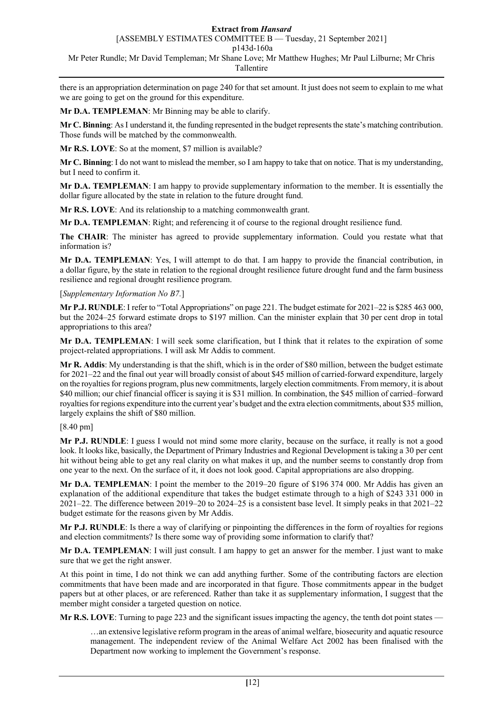[ASSEMBLY ESTIMATES COMMITTEE B — Tuesday, 21 September 2021]

p143d-160a

Mr Peter Rundle; Mr David Templeman; Mr Shane Love; Mr Matthew Hughes; Mr Paul Lilburne; Mr Chris Tallentire

there is an appropriation determination on page 240 for that set amount. It just does not seem to explain to me what we are going to get on the ground for this expenditure.

**Mr D.A. TEMPLEMAN**: Mr Binning may be able to clarify.

**Mr C. Binning**: AsI understand it, the funding represented in the budget represents the state's matching contribution. Those funds will be matched by the commonwealth.

**Mr R.S. LOVE**: So at the moment, \$7 million is available?

**Mr C. Binning**: I do not want to mislead the member, so I am happy to take that on notice. That is my understanding, but I need to confirm it.

**Mr D.A. TEMPLEMAN**: I am happy to provide supplementary information to the member. It is essentially the dollar figure allocated by the state in relation to the future drought fund.

**Mr R.S. LOVE**: And its relationship to a matching commonwealth grant.

**Mr D.A. TEMPLEMAN**: Right; and referencing it of course to the regional drought resilience fund.

**The CHAIR**: The minister has agreed to provide supplementary information. Could you restate what that information is?

**Mr D.A. TEMPLEMAN**: Yes, I will attempt to do that. I am happy to provide the financial contribution, in a dollar figure, by the state in relation to the regional drought resilience future drought fund and the farm business resilience and regional drought resilience program.

# [*Supplementary Information No B7.*]

**Mr P.J. RUNDLE**: I refer to "Total Appropriations" on page 221. The budget estimate for 2021–22 is \$285 463 000, but the 2024–25 forward estimate drops to \$197 million. Can the minister explain that 30 per cent drop in total appropriations to this area?

**Mr D.A. TEMPLEMAN**: I will seek some clarification, but I think that it relates to the expiration of some project-related appropriations. I will ask Mr Addis to comment.

**Mr R. Addis**: My understanding is that the shift, which is in the order of \$80 million, between the budget estimate for 2021–22 and the final out year will broadly consist of about \$45 million of carried-forward expenditure, largely on the royalties for regions program, plus new commitments, largely election commitments. From memory, it is about \$40 million; our chief financial officer is saying it is \$31 million. In combination, the \$45 million of carried–forward royalties for regions expenditure into the current year's budget and the extra election commitments, about \$35 million, largely explains the shift of \$80 million.

### [8.40 pm]

**Mr P.J. RUNDLE**: I guess I would not mind some more clarity, because on the surface, it really is not a good look. It looks like, basically, the Department of Primary Industries and Regional Development is taking a 30 per cent hit without being able to get any real clarity on what makes it up, and the number seems to constantly drop from one year to the next. On the surface of it, it does not look good. Capital appropriations are also dropping.

**Mr D.A. TEMPLEMAN**: I point the member to the 2019–20 figure of \$196 374 000. Mr Addis has given an explanation of the additional expenditure that takes the budget estimate through to a high of \$243 331 000 in 2021–22. The difference between 2019–20 to 2024–25 is a consistent base level. It simply peaks in that 2021–22 budget estimate for the reasons given by Mr Addis.

**Mr P.J. RUNDLE**: Is there a way of clarifying or pinpointing the differences in the form of royalties for regions and election commitments? Is there some way of providing some information to clarify that?

**Mr D.A. TEMPLEMAN**: I will just consult. I am happy to get an answer for the member. I just want to make sure that we get the right answer.

At this point in time, I do not think we can add anything further. Some of the contributing factors are election commitments that have been made and are incorporated in that figure. Those commitments appear in the budget papers but at other places, or are referenced. Rather than take it as supplementary information, I suggest that the member might consider a targeted question on notice.

**Mr R.S. LOVE:** Turning to page 223 and the significant issues impacting the agency, the tenth dot point states —

…an extensive legislative reform program in the areas of animal welfare, biosecurity and aquatic resource management. The independent review of the Animal Welfare Act 2002 has been finalised with the Department now working to implement the Government's response.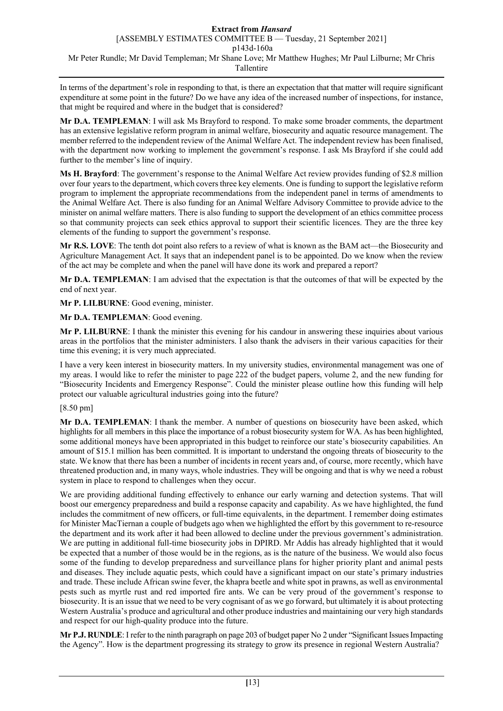In terms of the department's role in responding to that, is there an expectation that that matter will require significant expenditure at some point in the future? Do we have any idea of the increased number of inspections, for instance, that might be required and where in the budget that is considered?

**Mr D.A. TEMPLEMAN**: I will ask Ms Brayford to respond. To make some broader comments, the department has an extensive legislative reform program in animal welfare, biosecurity and aquatic resource management. The member referred to the independent review of the Animal Welfare Act. The independent review has been finalised, with the department now working to implement the government's response. I ask Ms Brayford if she could add further to the member's line of inquiry.

**Ms H. Brayford**: The government's response to the Animal Welfare Act review provides funding of \$2.8 million over four years to the department, which covers three key elements. One is funding to support the legislative reform program to implement the appropriate recommendations from the independent panel in terms of amendments to the Animal Welfare Act. There is also funding for an Animal Welfare Advisory Committee to provide advice to the minister on animal welfare matters. There is also funding to support the development of an ethics committee process so that community projects can seek ethics approval to support their scientific licences. They are the three key elements of the funding to support the government's response.

**Mr R.S. LOVE**: The tenth dot point also refers to a review of what is known as the BAM act—the Biosecurity and Agriculture Management Act. It says that an independent panel is to be appointed. Do we know when the review of the act may be complete and when the panel will have done its work and prepared a report?

**Mr D.A. TEMPLEMAN**: I am advised that the expectation is that the outcomes of that will be expected by the end of next year.

**Mr P. LILBURNE**: Good evening, minister.

**Mr D.A. TEMPLEMAN**: Good evening.

**Mr P. LILBURNE**: I thank the minister this evening for his candour in answering these inquiries about various areas in the portfolios that the minister administers. I also thank the advisers in their various capacities for their time this evening; it is very much appreciated.

I have a very keen interest in biosecurity matters. In my university studies, environmental management was one of my areas. I would like to refer the minister to page 222 of the budget papers, volume 2, and the new funding for "Biosecurity Incidents and Emergency Response". Could the minister please outline how this funding will help protect our valuable agricultural industries going into the future?

### [8.50 pm]

**Mr D.A. TEMPLEMAN**: I thank the member. A number of questions on biosecurity have been asked, which highlights for all members in this place the importance of a robust biosecurity system for WA. As has been highlighted, some additional moneys have been appropriated in this budget to reinforce our state's biosecurity capabilities. An amount of \$15.1 million has been committed. It is important to understand the ongoing threats of biosecurity to the state. We know that there has been a number of incidents in recent years and, of course, more recently, which have threatened production and, in many ways, whole industries. They will be ongoing and that is why we need a robust system in place to respond to challenges when they occur.

We are providing additional funding effectively to enhance our early warning and detection systems. That will boost our emergency preparedness and build a response capacity and capability. As we have highlighted, the fund includes the commitment of new officers, or full-time equivalents, in the department. I remember doing estimates for Minister MacTiernan a couple of budgets ago when we highlighted the effort by this government to re-resource the department and its work after it had been allowed to decline under the previous government's administration. We are putting in additional full-time biosecurity jobs in DPIRD. Mr Addis has already highlighted that it would be expected that a number of those would be in the regions, as is the nature of the business. We would also focus some of the funding to develop preparedness and surveillance plans for higher priority plant and animal pests and diseases. They include aquatic pests, which could have a significant impact on our state's primary industries and trade. These include African swine fever, the khapra beetle and white spot in prawns, as well as environmental pests such as myrtle rust and red imported fire ants. We can be very proud of the government's response to biosecurity. It is an issue that we need to be very cognisant of as we go forward, but ultimately it is about protecting Western Australia's produce and agricultural and other produce industries and maintaining our very high standards and respect for our high-quality produce into the future.

**Mr P.J. RUNDLE**: I refer to the ninth paragraph on page 203 of budget paper No 2 under "Significant Issues Impacting the Agency". How is the department progressing its strategy to grow its presence in regional Western Australia?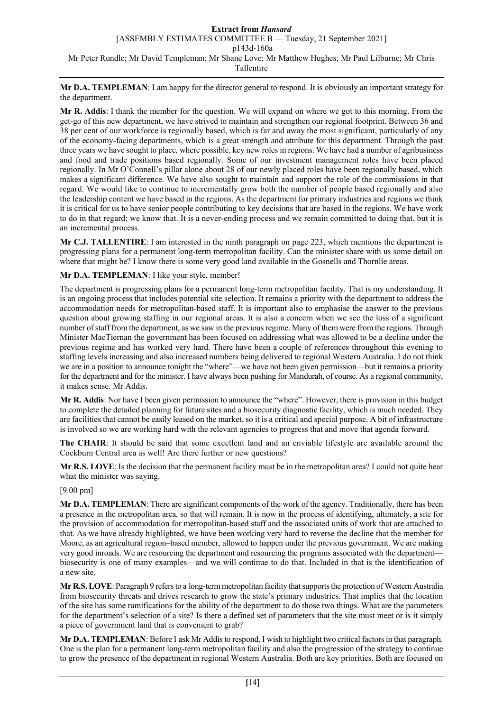**Mr D.A. TEMPLEMAN**: I am happy for the director general to respond. It is obviously an important strategy for the department.

**Mr R. Addis**: I thank the member for the question. We will expand on where we got to this morning. From the get-go of this new department, we have strived to maintain and strengthen our regional footprint. Between 36 and 38 per cent of our workforce is regionally based, which is far and away the most significant, particularly of any of the economy-facing departments, which is a great strength and attribute for this department. Through the past three years we have sought to place, where possible, key new roles in regions. We have had a number of agribusiness and food and trade positions based regionally. Some of our investment management roles have been placed regionally. In Mr O'Connell's pillar alone about 28 of our newly placed roles have been regionally based, which makes a significant difference. We have also sought to maintain and support the role of the commissions in that regard. We would like to continue to incrementally grow both the number of people based regionally and also the leadership content we have based in the regions. As the department for primary industries and regions we think it is critical for us to have senior people contributing to key decisions that are based in the regions. We have work to do in that regard; we know that. It is a never-ending process and we remain committed to doing that, but it is an incremental process.

**Mr C.J. TALLENTIRE**: I am interested in the ninth paragraph on page 223, which mentions the department is progressing plans for a permanent long-term metropolitan facility. Can the minister share with us some detail on where that might be? I know there is some very good land available in the Gosnells and Thornlie areas.

# **Mr D.A. TEMPLEMAN**: I like your style, member!

The department is progressing plans for a permanent long-term metropolitan facility. That is my understanding. It is an ongoing process that includes potential site selection. It remains a priority with the department to address the accommodation needs for metropolitan-based staff. It is important also to emphasise the answer to the previous question about growing staffing in our regional areas. It is also a concern when we see the loss of a significant number of staff from the department, as we saw in the previous regime. Many of them were from the regions. Through Minister MacTiernan the government has been focused on addressing what was allowed to be a decline under the previous regime and has worked very hard. There have been a couple of references throughout this evening to staffing levels increasing and also increased numbers being delivered to regional Western Australia. I do not think we are in a position to announce tonight the "where"—we have not been given permission—but it remains a priority for the department and for the minister. I have always been pushing for Mandurah, of course. As a regional community, it makes sense. Mr Addis.

**Mr R. Addis**: Nor have I been given permission to announce the "where". However, there is provision in this budget to complete the detailed planning for future sites and a biosecurity diagnostic facility, which is much needed. They are facilities that cannot be easily leased on the market, so it is a critical and special purpose. A bit of infrastructure is involved so we are working hard with the relevant agencies to progress that and move that agenda forward.

**The CHAIR**: It should be said that some excellent land and an enviable lifestyle are available around the Cockburn Central area as well! Are there further or new questions?

**Mr R.S. LOVE**: Is the decision that the permanent facility must be in the metropolitan area? I could not quite hear what the minister was saying.

### [9.00 pm]

**Mr D.A. TEMPLEMAN**: There are significant components of the work of the agency. Traditionally, there has been a presence in the metropolitan area, so that will remain. It is now in the process of identifying, ultimately, a site for the provision of accommodation for metropolitan-based staff and the associated units of work that are attached to that. As we have already highlighted, we have been working very hard to reverse the decline that the member for Moore, as an agricultural region–based member, allowed to happen under the previous government. We are making very good inroads. We are resourcing the department and resourcing the programs associated with the department biosecurity is one of many examples—and we will continue to do that. Included in that is the identification of a new site.

**Mr R.S. LOVE**: Paragraph 9 refers to a long-term metropolitan facility that supports the protection of Western Australia from biosecurity threats and drives research to grow the state's primary industries. That implies that the location of the site has some ramifications for the ability of the department to do those two things. What are the parameters for the department's selection of a site? Is there a defined set of parameters that the site must meet or is it simply a piece of government land that is convenient to grab?

**Mr D.A. TEMPLEMAN**: Before I ask Mr Addis to respond, I wish to highlight two critical factors in that paragraph. One is the plan for a permanent long-term metropolitan facility and also the progression of the strategy to continue to grow the presence of the department in regional Western Australia. Both are key priorities. Both are focused on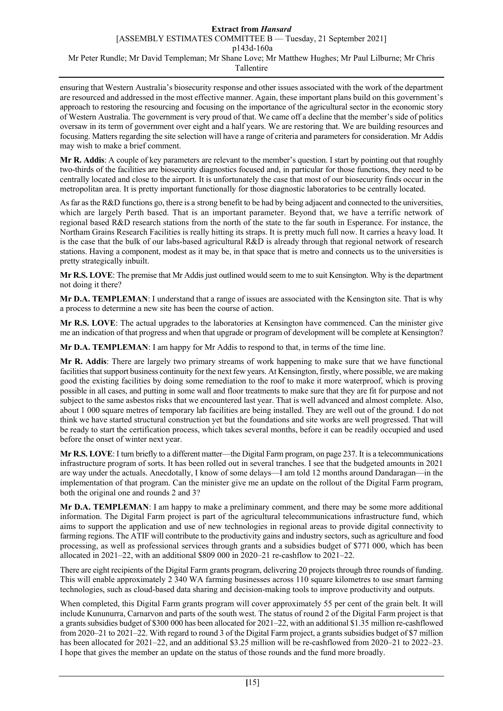ensuring that Western Australia's biosecurity response and other issues associated with the work of the department are resourced and addressed in the most effective manner. Again, these important plans build on this government's approach to restoring the resourcing and focusing on the importance of the agricultural sector in the economic story of Western Australia. The government is very proud of that. We came off a decline that the member's side of politics oversaw in its term of government over eight and a half years. We are restoring that. We are building resources and focusing. Matters regarding the site selection will have a range of criteria and parameters for consideration. Mr Addis may wish to make a brief comment.

**Mr R. Addis**: A couple of key parameters are relevant to the member's question. I start by pointing out that roughly two-thirds of the facilities are biosecurity diagnostics focused and, in particular for those functions, they need to be centrally located and close to the airport. It is unfortunately the case that most of our biosecurity finds occur in the metropolitan area. It is pretty important functionally for those diagnostic laboratories to be centrally located.

As far as the R&D functions go, there is a strong benefit to be had by being adjacent and connected to the universities, which are largely Perth based. That is an important parameter. Beyond that, we have a terrific network of regional based R&D research stations from the north of the state to the far south in Esperance. For instance, the Northam Grains Research Facilities is really hitting its straps. It is pretty much full now. It carries a heavy load. It is the case that the bulk of our labs-based agricultural R&D is already through that regional network of research stations. Having a component, modest as it may be, in that space that is metro and connects us to the universities is pretty strategically inbuilt.

**Mr R.S. LOVE**: The premise that Mr Addis just outlined would seem to me to suit Kensington. Why is the department not doing it there?

**Mr D.A. TEMPLEMAN**: I understand that a range of issues are associated with the Kensington site. That is why a process to determine a new site has been the course of action.

**Mr R.S. LOVE**: The actual upgrades to the laboratories at Kensington have commenced. Can the minister give me an indication of that progress and when that upgrade or program of development will be complete at Kensington?

**Mr D.A. TEMPLEMAN**: I am happy for Mr Addis to respond to that, in terms of the time line.

**Mr R. Addis**: There are largely two primary streams of work happening to make sure that we have functional facilities that support business continuity for the next few years. At Kensington, firstly, where possible, we are making good the existing facilities by doing some remediation to the roof to make it more waterproof, which is proving possible in all cases, and putting in some wall and floor treatments to make sure that they are fit for purpose and not subject to the same asbestos risks that we encountered last year. That is well advanced and almost complete. Also, about 1 000 square metres of temporary lab facilities are being installed. They are well out of the ground. I do not think we have started structural construction yet but the foundations and site works are well progressed. That will be ready to start the certification process, which takes several months, before it can be readily occupied and used before the onset of winter next year.

**Mr R.S. LOVE**: I turn briefly to a different matter—the Digital Farm program, on page 237. It is a telecommunications infrastructure program of sorts. It has been rolled out in several tranches. I see that the budgeted amounts in 2021 are way under the actuals. Anecdotally, I know of some delays—I am told 12 months around Dandaragan—in the implementation of that program. Can the minister give me an update on the rollout of the Digital Farm program, both the original one and rounds 2 and 3?

**Mr D.A. TEMPLEMAN**: I am happy to make a preliminary comment, and there may be some more additional information. The Digital Farm project is part of the agricultural telecommunications infrastructure fund, which aims to support the application and use of new technologies in regional areas to provide digital connectivity to farming regions. The ATIF will contribute to the productivity gains and industry sectors, such as agriculture and food processing, as well as professional services through grants and a subsidies budget of \$771 000, which has been allocated in 2021–22, with an additional \$809 000 in 2020–21 re-cashflow to 2021–22.

There are eight recipients of the Digital Farm grants program, delivering 20 projects through three rounds of funding. This will enable approximately 2 340 WA farming businesses across 110 square kilometres to use smart farming technologies, such as cloud-based data sharing and decision-making tools to improve productivity and outputs.

When completed, this Digital Farm grants program will cover approximately 55 per cent of the grain belt. It will include Kununurra, Carnarvon and parts of the south west. The status of round 2 of the Digital Farm project is that a grants subsidies budget of \$300 000 has been allocated for 2021–22, with an additional \$1.35 million re-cashflowed from 2020–21 to 2021–22. With regard to round 3 of the Digital Farm project, a grants subsidies budget of \$7 million has been allocated for 2021–22, and an additional \$3.25 million will be re-cashflowed from 2020–21 to 2022–23. I hope that gives the member an update on the status of those rounds and the fund more broadly.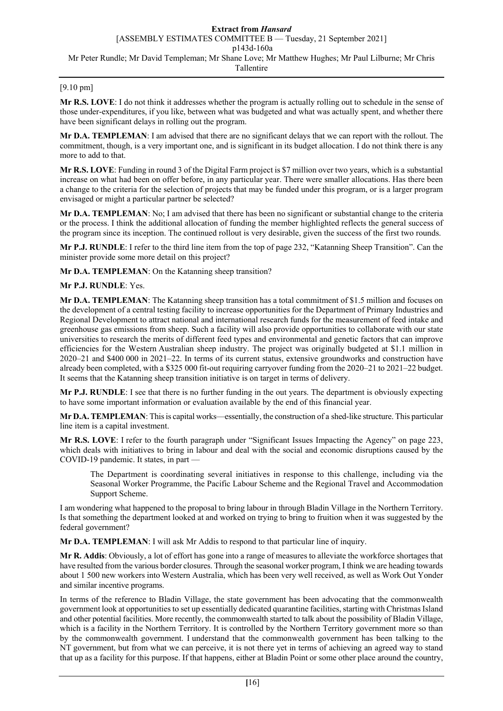# [9.10 pm]

**Mr R.S. LOVE**: I do not think it addresses whether the program is actually rolling out to schedule in the sense of those under-expenditures, if you like, between what was budgeted and what was actually spent, and whether there have been significant delays in rolling out the program.

**Mr D.A. TEMPLEMAN**: I am advised that there are no significant delays that we can report with the rollout. The commitment, though, is a very important one, and is significant in its budget allocation. I do not think there is any more to add to that.

**Mr R.S. LOVE**: Funding in round 3 of the Digital Farm project is \$7 million over two years, which is a substantial increase on what had been on offer before, in any particular year. There were smaller allocations. Has there been a change to the criteria for the selection of projects that may be funded under this program, or is a larger program envisaged or might a particular partner be selected?

**Mr D.A. TEMPLEMAN**: No; I am advised that there has been no significant or substantial change to the criteria or the process. I think the additional allocation of funding the member highlighted reflects the general success of the program since its inception. The continued rollout is very desirable, given the success of the first two rounds.

**Mr P.J. RUNDLE**: I refer to the third line item from the top of page 232, "Katanning Sheep Transition". Can the minister provide some more detail on this project?

**Mr D.A. TEMPLEMAN**: On the Katanning sheep transition?

### **Mr P.J. RUNDLE**: Yes.

**Mr D.A. TEMPLEMAN**: The Katanning sheep transition has a total commitment of \$1.5 million and focuses on the development of a central testing facility to increase opportunities for the Department of Primary Industries and Regional Development to attract national and international research funds for the measurement of feed intake and greenhouse gas emissions from sheep. Such a facility will also provide opportunities to collaborate with our state universities to research the merits of different feed types and environmental and genetic factors that can improve efficiencies for the Western Australian sheep industry. The project was originally budgeted at \$1.1 million in 2020–21 and \$400 000 in 2021–22. In terms of its current status, extensive groundworks and construction have already been completed, with a \$325 000 fit-out requiring carryover funding from the 2020–21 to 2021–22 budget. It seems that the Katanning sheep transition initiative is on target in terms of delivery.

**Mr P.J. RUNDLE**: I see that there is no further funding in the out years. The department is obviously expecting to have some important information or evaluation available by the end of this financial year.

**Mr D.A. TEMPLEMAN**: This is capital works—essentially, the construction of a shed-like structure. This particular line item is a capital investment.

**Mr R.S. LOVE**: I refer to the fourth paragraph under "Significant Issues Impacting the Agency" on page 223, which deals with initiatives to bring in labour and deal with the social and economic disruptions caused by the COVID-19 pandemic. It states, in part —

The Department is coordinating several initiatives in response to this challenge, including via the Seasonal Worker Programme, the Pacific Labour Scheme and the Regional Travel and Accommodation Support Scheme.

I am wondering what happened to the proposal to bring labour in through Bladin Village in the Northern Territory. Is that something the department looked at and worked on trying to bring to fruition when it was suggested by the federal government?

**Mr D.A. TEMPLEMAN**: I will ask Mr Addis to respond to that particular line of inquiry.

**Mr R. Addis**: Obviously, a lot of effort has gone into a range of measures to alleviate the workforce shortages that have resulted from the various border closures. Through the seasonal worker program, I think we are heading towards about 1 500 new workers into Western Australia, which has been very well received, as well as Work Out Yonder and similar incentive programs.

In terms of the reference to Bladin Village, the state government has been advocating that the commonwealth government look at opportunities to set up essentially dedicated quarantine facilities, starting with Christmas Island and other potential facilities. More recently, the commonwealth started to talk about the possibility of Bladin Village, which is a facility in the Northern Territory. It is controlled by the Northern Territory government more so than by the commonwealth government. I understand that the commonwealth government has been talking to the NT government, but from what we can perceive, it is not there yet in terms of achieving an agreed way to stand that up as a facility for this purpose. If that happens, either at Bladin Point or some other place around the country,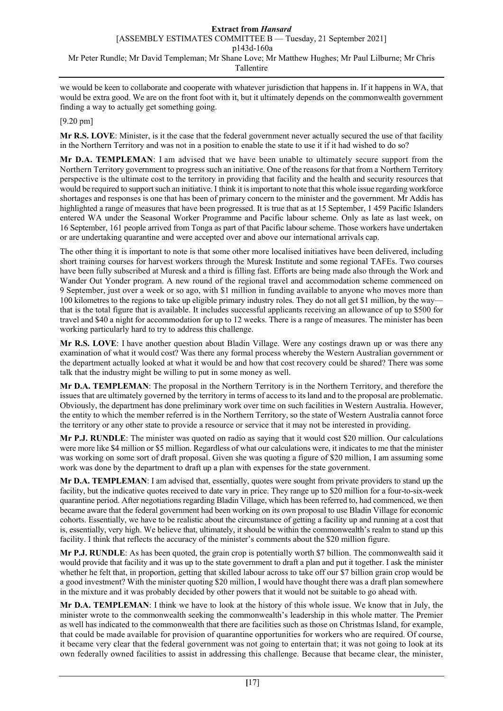we would be keen to collaborate and cooperate with whatever jurisdiction that happens in. If it happens in WA, that would be extra good. We are on the front foot with it, but it ultimately depends on the commonwealth government finding a way to actually get something going.

## [9.20 pm]

**Mr R.S. LOVE**: Minister, is it the case that the federal government never actually secured the use of that facility in the Northern Territory and was not in a position to enable the state to use it if it had wished to do so?

**Mr D.A. TEMPLEMAN**: I am advised that we have been unable to ultimately secure support from the Northern Territory government to progress such an initiative. One of the reasons for that from a Northern Territory perspective is the ultimate cost to the territory in providing that facility and the health and security resources that would be required to support such an initiative. I think it is important to note that this whole issue regarding workforce shortages and responses is one that has been of primary concern to the minister and the government. Mr Addis has highlighted a range of measures that have been progressed. It is true that as at 15 September, 1 459 Pacific Islanders entered WA under the Seasonal Worker Programme and Pacific labour scheme. Only as late as last week, on 16 September, 161 people arrived from Tonga as part of that Pacific labour scheme. Those workers have undertaken or are undertaking quarantine and were accepted over and above our international arrivals cap.

The other thing it is important to note is that some other more localised initiatives have been delivered, including short training courses for harvest workers through the Muresk Institute and some regional TAFEs. Two courses have been fully subscribed at Muresk and a third is filling fast. Efforts are being made also through the Work and Wander Out Yonder program. A new round of the regional travel and accommodation scheme commenced on 9 September, just over a week or so ago, with \$1 million in funding available to anyone who moves more than 100 kilometres to the regions to take up eligible primary industry roles. They do not all get \$1 million, by the way that is the total figure that is available. It includes successful applicants receiving an allowance of up to \$500 for travel and \$40 a night for accommodation for up to 12 weeks. There is a range of measures. The minister has been working particularly hard to try to address this challenge.

**Mr R.S. LOVE**: I have another question about Bladin Village. Were any costings drawn up or was there any examination of what it would cost? Was there any formal process whereby the Western Australian government or the department actually looked at what it would be and how that cost recovery could be shared? There was some talk that the industry might be willing to put in some money as well.

**Mr D.A. TEMPLEMAN**: The proposal in the Northern Territory is in the Northern Territory, and therefore the issues that are ultimately governed by the territory in terms of access to its land and to the proposal are problematic. Obviously, the department has done preliminary work over time on such facilities in Western Australia. However, the entity to which the member referred is in the Northern Territory, so the state of Western Australia cannot force the territory or any other state to provide a resource or service that it may not be interested in providing.

**Mr P.J. RUNDLE**: The minister was quoted on radio as saying that it would cost \$20 million. Our calculations were more like \$4 million or \$5 million. Regardless of what our calculations were, it indicates to me that the minister was working on some sort of draft proposal. Given she was quoting a figure of \$20 million, I am assuming some work was done by the department to draft up a plan with expenses for the state government.

**Mr D.A. TEMPLEMAN**: I am advised that, essentially, quotes were sought from private providers to stand up the facility, but the indicative quotes received to date vary in price. They range up to \$20 million for a four-to-six-week quarantine period. After negotiations regarding Bladin Village, which has been referred to, had commenced, we then became aware that the federal government had been working on its own proposal to use Bladin Village for economic cohorts. Essentially, we have to be realistic about the circumstance of getting a facility up and running at a cost that is, essentially, very high. We believe that, ultimately, it should be within the commonwealth's realm to stand up this facility. I think that reflects the accuracy of the minister's comments about the \$20 million figure.

**Mr P.J. RUNDLE**: As has been quoted, the grain crop is potentially worth \$7 billion. The commonwealth said it would provide that facility and it was up to the state government to draft a plan and put it together. I ask the minister whether he felt that, in proportion, getting that skilled labour across to take off our \$7 billion grain crop would be a good investment? With the minister quoting \$20 million, I would have thought there was a draft plan somewhere in the mixture and it was probably decided by other powers that it would not be suitable to go ahead with.

**Mr D.A. TEMPLEMAN**: I think we have to look at the history of this whole issue. We know that in July, the minister wrote to the commonwealth seeking the commonwealth's leadership in this whole matter. The Premier as well has indicated to the commonwealth that there are facilities such as those on Christmas Island, for example, that could be made available for provision of quarantine opportunities for workers who are required. Of course, it became very clear that the federal government was not going to entertain that; it was not going to look at its own federally owned facilities to assist in addressing this challenge. Because that became clear, the minister,